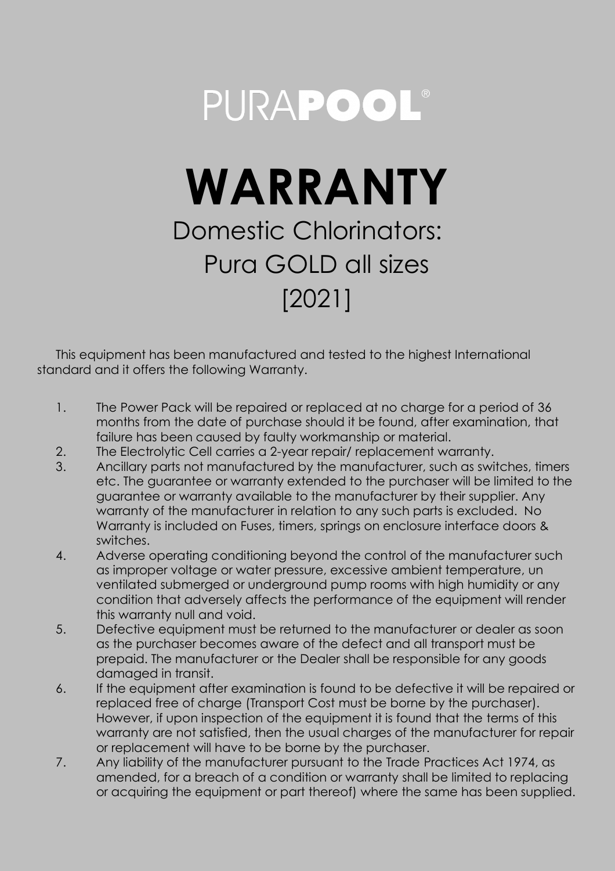## PURAPOOL®

## **WARRANTY** Domestic Chlorinators: Pura GOLD all sizes [2021]

This equipment has been manufactured and tested to the highest International standard and it offers the following Warranty.

- 1. The Power Pack will be repaired or replaced at no charge for a period of 36 months from the date of purchase should it be found, after examination, that failure has been caused by faulty workmanship or material.
- 2. The Electrolytic Cell carries a 2-year repair/ replacement warranty.
- 3. Ancillary parts not manufactured by the manufacturer, such as switches, timers etc. The guarantee or warranty extended to the purchaser will be limited to the guarantee or warranty available to the manufacturer by their supplier. Any warranty of the manufacturer in relation to any such parts is excluded. No Warranty is included on Fuses, timers, springs on enclosure interface doors & switches.
- 4. Adverse operating conditioning beyond the control of the manufacturer such as improper voltage or water pressure, excessive ambient temperature, un ventilated submerged or underground pump rooms with high humidity or any condition that adversely affects the performance of the equipment will render this warranty null and void.
- 5. Defective equipment must be returned to the manufacturer or dealer as soon as the purchaser becomes aware of the defect and all transport must be prepaid. The manufacturer or the Dealer shall be responsible for any goods damaged in transit.
- 6. If the equipment after examination is found to be defective it will be repaired or replaced free of charge (Transport Cost must be borne by the purchaser). However, if upon inspection of the equipment it is found that the terms of this warranty are not satisfied, then the usual charges of the manufacturer for repair or replacement will have to be borne by the purchaser.
- 7. Any liability of the manufacturer pursuant to the Trade Practices Act 1974, as amended, for a breach of a condition or warranty shall be limited to replacing or acquiring the equipment or part thereof) where the same has been supplied.